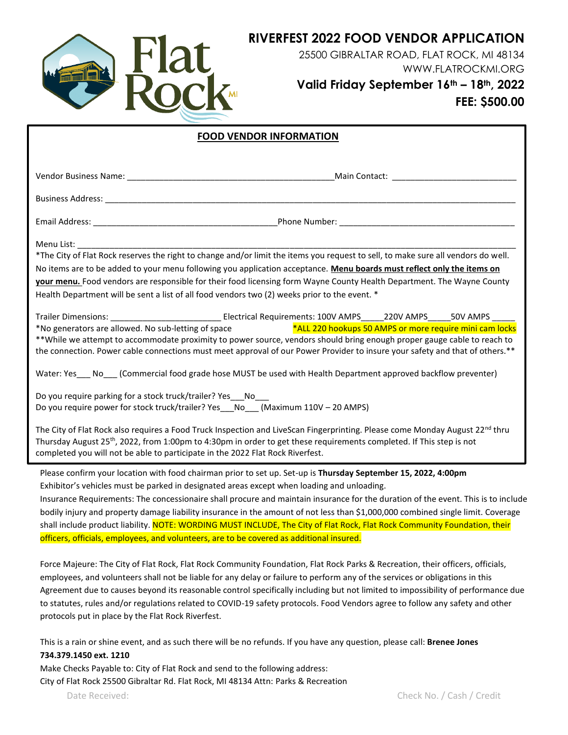

# **RIVERFEST 2022 FOOD VENDOR APPLICATION**

25500 GIBRALTAR ROAD, FLAT ROCK, MI 48134 WWW.FLATROCKMI.ORG

**Valid Friday September 16th – 18th, 2022 FEE: \$500.00** 

### **FOOD VENDOR INFORMATION**

Vendor Business Name: \_\_\_\_\_\_\_\_\_\_\_\_\_\_\_\_\_\_\_\_\_\_\_\_\_\_\_\_\_\_\_\_\_\_\_\_\_\_\_\_\_\_\_\_\_Main Contact: \_\_\_\_\_\_\_\_\_\_\_\_\_\_\_\_\_\_\_\_\_\_\_\_\_\_\_

Business Address: \_\_\_\_\_\_\_\_\_\_\_\_\_\_\_\_\_\_\_\_\_\_\_\_\_\_\_\_\_\_\_\_\_\_\_\_\_\_\_\_\_\_\_\_\_\_\_\_\_\_\_\_\_\_\_\_\_\_\_\_\_\_\_\_\_\_\_\_\_\_\_\_\_\_\_\_\_\_\_\_\_\_\_\_\_\_\_\_\_

Email Address: \_\_\_\_\_\_\_\_\_\_\_\_\_\_\_\_\_\_\_\_\_\_\_\_\_\_\_\_\_\_\_\_\_\_\_\_\_\_\_\_Phone Number: \_\_\_\_\_\_\_\_\_\_\_\_\_\_\_\_\_\_\_\_\_\_\_\_\_\_\_\_\_\_\_\_\_\_\_\_\_\_

Menu List: \_\_\_\_\_\_\_\_\_\_\_\_\_\_\_\_\_\_\_\_\_\_\_\_\_\_\_\_\_\_\_\_\_\_\_\_\_\_\_\_\_\_\_\_\_\_\_\_\_\_\_\_\_\_\_\_\_\_\_\_\_\_\_\_\_\_\_\_\_\_\_\_\_\_\_\_\_\_\_\_\_\_\_\_\_\_\_\_\_\_\_\_\_\_\_

\*The City of Flat Rock reserves the right to change and/or limit the items you request to sell, to make sure all vendors do well. No items are to be added to your menu following you application acceptance. **Menu boards must reflect only the items on your menu.** Food vendors are responsible for their food licensing form Wayne County Health Department. The Wayne County Health Department will be sent a list of all food vendors two (2) weeks prior to the event. \*

| <b>Trailer Dimensions:</b>                                                                                                   | Electrical Requirements: 100V AMPS | 220V AMPS | 50V AMPS                                                |
|------------------------------------------------------------------------------------------------------------------------------|------------------------------------|-----------|---------------------------------------------------------|
| *No generators are allowed. No sub-letting of space                                                                          |                                    |           | *ALL 220 hookups 50 AMPS or more require mini cam locks |
| **While we attempt to accommodate proximity to power source, vendors should bring enough proper gauge cable to reach to      |                                    |           |                                                         |
| the connection. Power cable connections must meet approval of our Power Provider to insure your safety and that of others.** |                                    |           |                                                         |

Water: Yes No (Commercial food grade hose MUST be used with Health Department approved backflow preventer)

Do you require parking for a stock truck/trailer? Yes No Do you require power for stock truck/trailer? Yes\_\_\_No\_\_\_ (Maximum 110V – 20 AMPS)

The City of Flat Rock also requires a Food Truck Inspection and LiveScan Fingerprinting. Please come Monday August 22<sup>nd</sup> thru Thursday August 25th, 2022, from 1:00pm to 4:30pm in order to get these requirements completed. If This step is not completed you will not be able to participate in the 2022 Flat Rock Riverfest.

Please confirm your location with food chairman prior to set up. Set-up is **Thursday September 15, 2022, 4:00pm** Exhibitor's vehicles must be parked in designated areas except when loading and unloading.

Insurance Requirements: The concessionaire shall procure and maintain insurance for the duration of the event. This is to include bodily injury and property damage liability insurance in the amount of not less than \$1,000,000 combined single limit. Coverage shall include product liability. NOTE: WORDING MUST INCLUDE, The City of Flat Rock, Flat Rock Community Foundation, their officers, officials, employees, and volunteers, are to be covered as additional insured.

Force Majeure: The City of Flat Rock, Flat Rock Community Foundation, Flat Rock Parks & Recreation, their officers, officials, employees, and volunteers shall not be liable for any delay or failure to perform any of the services or obligations in this Agreement due to causes beyond its reasonable control specifically including but not limited to impossibility of performance due to statutes, rules and/or regulations related to COVID-19 safety protocols. Food Vendors agree to follow any safety and other protocols put in place by the Flat Rock Riverfest.

This is a rain or shine event, and as such there will be no refunds. If you have any question, please call: **Brenee Jones** 

#### **734.379.1450 ext. 1210**

Make Checks Payable to: City of Flat Rock and send to the following address: City of Flat Rock 25500 Gibraltar Rd. Flat Rock, MI 48134 Attn: Parks & Recreation